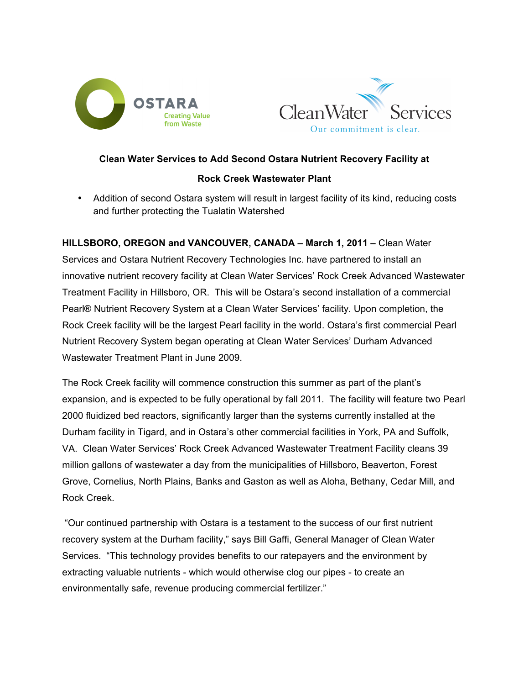



## **Clean Water Services to Add Second Ostara Nutrient Recovery Facility at**

### **Rock Creek Wastewater Plant**

• Addition of second Ostara system will result in largest facility of its kind, reducing costs and further protecting the Tualatin Watershed

**HILLSBORO, OREGON and VANCOUVER, CANADA – March 1, 2011 –** Clean Water Services and Ostara Nutrient Recovery Technologies Inc. have partnered to install an innovative nutrient recovery facility at Clean Water Services' Rock Creek Advanced Wastewater Treatment Facility in Hillsboro, OR. This will be Ostara's second installation of a commercial Pearl® Nutrient Recovery System at a Clean Water Services' facility. Upon completion, the Rock Creek facility will be the largest Pearl facility in the world. Ostara's first commercial Pearl Nutrient Recovery System began operating at Clean Water Services' Durham Advanced Wastewater Treatment Plant in June 2009.

The Rock Creek facility will commence construction this summer as part of the plant's expansion, and is expected to be fully operational by fall 2011. The facility will feature two Pearl 2000 fluidized bed reactors, significantly larger than the systems currently installed at the Durham facility in Tigard, and in Ostara's other commercial facilities in York, PA and Suffolk, VA. Clean Water Services' Rock Creek Advanced Wastewater Treatment Facility cleans 39 million gallons of wastewater a day from the municipalities of Hillsboro, Beaverton, Forest Grove, Cornelius, North Plains, Banks and Gaston as well as Aloha, Bethany, Cedar Mill, and Rock Creek.

"Our continued partnership with Ostara is a testament to the success of our first nutrient recovery system at the Durham facility," says Bill Gaffi, General Manager of Clean Water Services. "This technology provides benefits to our ratepayers and the environment by extracting valuable nutrients - which would otherwise clog our pipes - to create an environmentally safe, revenue producing commercial fertilizer."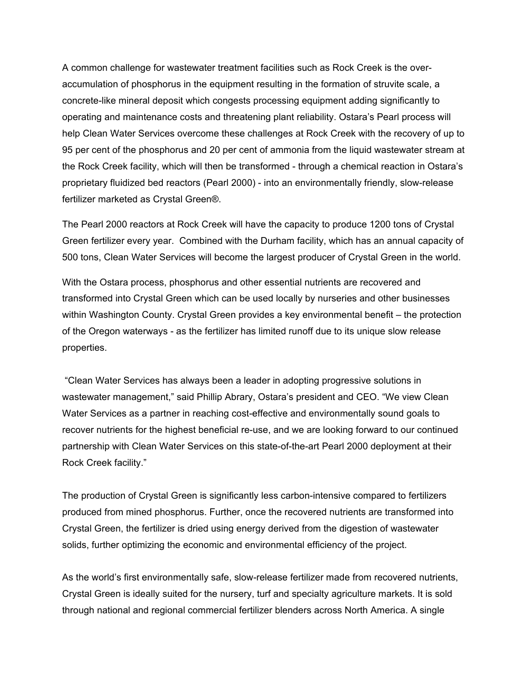A common challenge for wastewater treatment facilities such as Rock Creek is the overaccumulation of phosphorus in the equipment resulting in the formation of struvite scale, a concrete-like mineral deposit which congests processing equipment adding significantly to operating and maintenance costs and threatening plant reliability. Ostara's Pearl process will help Clean Water Services overcome these challenges at Rock Creek with the recovery of up to 95 per cent of the phosphorus and 20 per cent of ammonia from the liquid wastewater stream at the Rock Creek facility, which will then be transformed - through a chemical reaction in Ostara's proprietary fluidized bed reactors (Pearl 2000) - into an environmentally friendly, slow-release fertilizer marketed as Crystal Green®.

The Pearl 2000 reactors at Rock Creek will have the capacity to produce 1200 tons of Crystal Green fertilizer every year. Combined with the Durham facility, which has an annual capacity of 500 tons, Clean Water Services will become the largest producer of Crystal Green in the world.

With the Ostara process, phosphorus and other essential nutrients are recovered and transformed into Crystal Green which can be used locally by nurseries and other businesses within Washington County. Crystal Green provides a key environmental benefit – the protection of the Oregon waterways - as the fertilizer has limited runoff due to its unique slow release properties.

"Clean Water Services has always been a leader in adopting progressive solutions in wastewater management," said Phillip Abrary, Ostara's president and CEO. "We view Clean Water Services as a partner in reaching cost-effective and environmentally sound goals to recover nutrients for the highest beneficial re-use, and we are looking forward to our continued partnership with Clean Water Services on this state-of-the-art Pearl 2000 deployment at their Rock Creek facility."

The production of Crystal Green is significantly less carbon-intensive compared to fertilizers produced from mined phosphorus. Further, once the recovered nutrients are transformed into Crystal Green, the fertilizer is dried using energy derived from the digestion of wastewater solids, further optimizing the economic and environmental efficiency of the project.

As the world's first environmentally safe, slow-release fertilizer made from recovered nutrients, Crystal Green is ideally suited for the nursery, turf and specialty agriculture markets. It is sold through national and regional commercial fertilizer blenders across North America. A single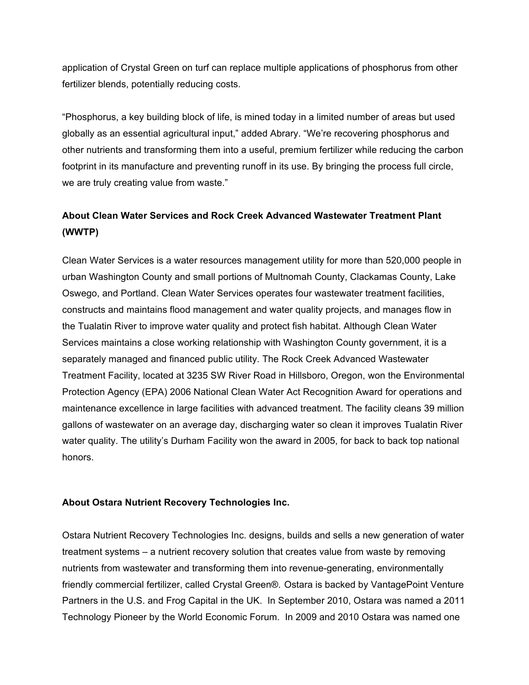application of Crystal Green on turf can replace multiple applications of phosphorus from other fertilizer blends, potentially reducing costs.

"Phosphorus, a key building block of life, is mined today in a limited number of areas but used globally as an essential agricultural input," added Abrary. "We're recovering phosphorus and other nutrients and transforming them into a useful, premium fertilizer while reducing the carbon footprint in its manufacture and preventing runoff in its use. By bringing the process full circle, we are truly creating value from waste."

# **About Clean Water Services and Rock Creek Advanced Wastewater Treatment Plant (WWTP)**

Clean Water Services is a water resources management utility for more than 520,000 people in urban Washington County and small portions of Multnomah County, Clackamas County, Lake Oswego, and Portland. Clean Water Services operates four wastewater treatment facilities, constructs and maintains flood management and water quality projects, and manages flow in the Tualatin River to improve water quality and protect fish habitat. Although Clean Water Services maintains a close working relationship with Washington County government, it is a separately managed and financed public utility. The Rock Creek Advanced Wastewater Treatment Facility, located at 3235 SW River Road in Hillsboro, Oregon, won the Environmental Protection Agency (EPA) 2006 National Clean Water Act Recognition Award for operations and maintenance excellence in large facilities with advanced treatment. The facility cleans 39 million gallons of wastewater on an average day, discharging water so clean it improves Tualatin River water quality. The utility's Durham Facility won the award in 2005, for back to back top national honors.

### **About Ostara Nutrient Recovery Technologies Inc.**

Ostara Nutrient Recovery Technologies Inc. designs, builds and sells a new generation of water treatment systems – a nutrient recovery solution that creates value from waste by removing nutrients from wastewater and transforming them into revenue-generating, environmentally friendly commercial fertilizer, called Crystal Green®. Ostara is backed by VantagePoint Venture Partners in the U.S. and Frog Capital in the UK. In September 2010, Ostara was named a 2011 Technology Pioneer by the World Economic Forum. In 2009 and 2010 Ostara was named one